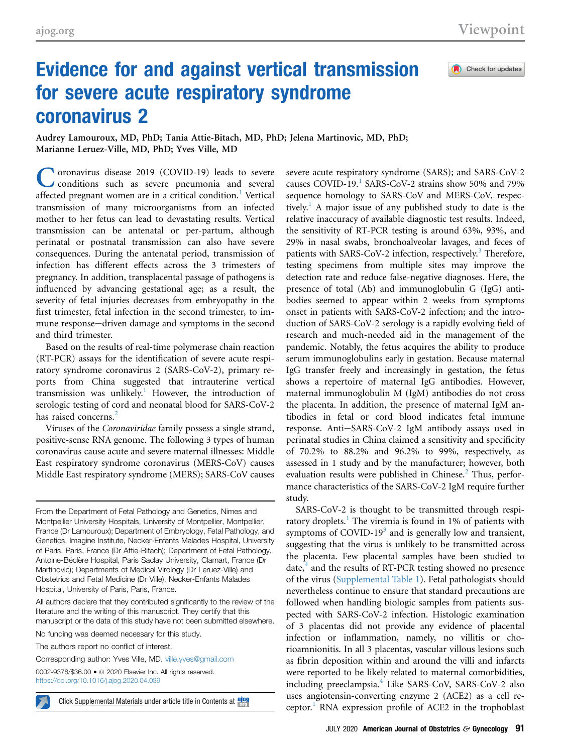Check for updates

## Evidence for and against vertical transmission for severe acute respiratory syndrome coronavirus 2

Audrey Lamouroux, MD, PhD; Tania Attie-Bitach, MD, PhD; Jelena Martinovic, MD, PhD; Marianne Leruez-Ville, MD, PhD; Yves Ville, MD

Coronavirus disease 2019 (COVID-19) leads to severe<br>
conditions such as severe pneumonia and several affected pregnant women are in a critical condition.<sup>[1](#page-2-0)</sup> Vertical transmission of many microorganisms from an infected mother to her fetus can lead to devastating results. Vertical transmission can be antenatal or per-partum, although perinatal or postnatal transmission can also have severe consequences. During the antenatal period, transmission of infection has different effects across the 3 trimesters of pregnancy. In addition, transplacental passage of pathogens is influenced by advancing gestational age; as a result, the severity of fetal injuries decreases from embryopathy in the first trimester, fetal infection in the second trimester, to immune response-driven damage and symptoms in the second and third trimester.

Based on the results of real-time polymerase chain reaction (RT-PCR) assays for the identification of severe acute respiratory syndrome coronavirus 2 (SARS-CoV-2), primary reports from China suggested that intrauterine vertical transmission was unlikely.<sup>[1](#page-2-0)</sup> However, the introduction of serologic testing of cord and neonatal blood for SARS-CoV-2 has raised concerns.<sup>[2](#page-2-1)</sup>

Viruses of the Coronaviridae family possess a single strand, positive-sense RNA genome. The following 3 types of human coronavirus cause acute and severe maternal illnesses: Middle East respiratory syndrome coronavirus (MERS-CoV) causes Middle East respiratory syndrome (MERS); SARS-CoV causes

From the Department of Fetal Pathology and Genetics, Nimes and Montpellier University Hospitals, University of Montpellier, Montpellier, France (Dr Lamouroux); Department of Embryology, Fetal Pathology, and Genetics, Imagine Institute, Necker-Enfants Malades Hospital, University of Paris, Paris, France (Dr Attie-Bitach); Department of Fetal Pathology, Antoine-Béclère Hospital, Paris Saclay University, Clamart, France (Dr Martinovic); Departments of Medical Virology (Dr Leruez-Ville) and Obstetrics and Fetal Medicine (Dr Ville), Necker-Enfants Malades Hospital, University of Paris, Paris, France.

All authors declare that they contributed significantly to the review of the literature and the writing of this manuscript. They certify that this manuscript or the data of this study have not been submitted elsewhere.

No funding was deemed necessary for this study.

The authors report no conflict of interest.

Corresponding author: Yves Ville, MD. [ville.yves@gmail.com](mailto:ville.yves@gmail.com)

0002-9378/\$36.00 · @ 2020 Elsevier Inc. All rights reserved <https://doi.org/10.1016/j.ajog.2020.04.039>

severe acute respiratory syndrome (SARS); and SARS-CoV-2 causes COVID-[1](#page-2-0)9.<sup>1</sup> SARS-CoV-2 strains show 50% and 79% sequence homology to SARS-CoV and MERS-CoV, respec-tively.<sup>[1](#page-2-0)</sup> A major issue of any published study to date is the relative inaccuracy of available diagnostic test results. Indeed, the sensitivity of RT-PCR testing is around 63%, 93%, and 29% in nasal swabs, bronchoalveolar lavages, and feces of patients with SARS-CoV-2 infection, respectively.<sup>[3](#page-2-2)</sup> Therefore, testing specimens from multiple sites may improve the detection rate and reduce false-negative diagnoses. Here, the presence of total (Ab) and immunoglobulin G (IgG) antibodies seemed to appear within 2 weeks from symptoms onset in patients with SARS-CoV-2 infection; and the introduction of SARS-CoV-2 serology is a rapidly evolving field of research and much-needed aid in the management of the pandemic. Notably, the fetus acquires the ability to produce serum immunoglobulins early in gestation. Because maternal IgG transfer freely and increasingly in gestation, the fetus shows a repertoire of maternal IgG antibodies. However, maternal immunoglobulin M (IgM) antibodies do not cross the placenta. In addition, the presence of maternal IgM antibodies in fetal or cord blood indicates fetal immune response. Anti-SARS-CoV-2 IgM antibody assays used in perinatal studies in China claimed a sensitivity and specificity of 70.2% to 88.2% and 96.2% to 99%, respectively, as assessed in 1 study and by the manufacturer; however, both evaluation results were published in Chinese.<sup>[2](#page-2-1)</sup> Thus, performance characteristics of the SARS-CoV-2 IgM require further study.

SARS-CoV-2 is thought to be transmitted through respi-ratory droplets.<sup>[1](#page-2-0)</sup> The viremia is found in 1% of patients with symptoms of COVID-19 $3$  and is generally low and transient, suggesting that the virus is unlikely to be transmitted across the placenta. Few placental samples have been studied to date, $4$  and the results of RT-PCR testing showed no presence of the virus (Supplemental Table 1). Fetal pathologists should nevertheless continue to ensure that standard precautions are followed when handling biologic samples from patients suspected with SARS-CoV-2 infection. Histologic examination of 3 placentas did not provide any evidence of placental infection or inflammation, namely, no villitis or chorioamnionitis. In all 3 placentas, vascular villous lesions such as fibrin deposition within and around the villi and infarcts were reported to be likely related to maternal comorbidities, including preeclampsia.<sup>[4](#page-2-3)</sup> Like SARS-CoV, SARS-CoV-2 also uses angiotensin-converting enzyme 2 (ACE2) as a cell re-Click Supplemental Materials under article title in Contents at  $\frac{2000}{1000}$  $\frac{2000}{1000}$  $\frac{2000}{1000}$  ceptor.<sup>1</sup> RNA expression profile of ACE2 in the trophoblast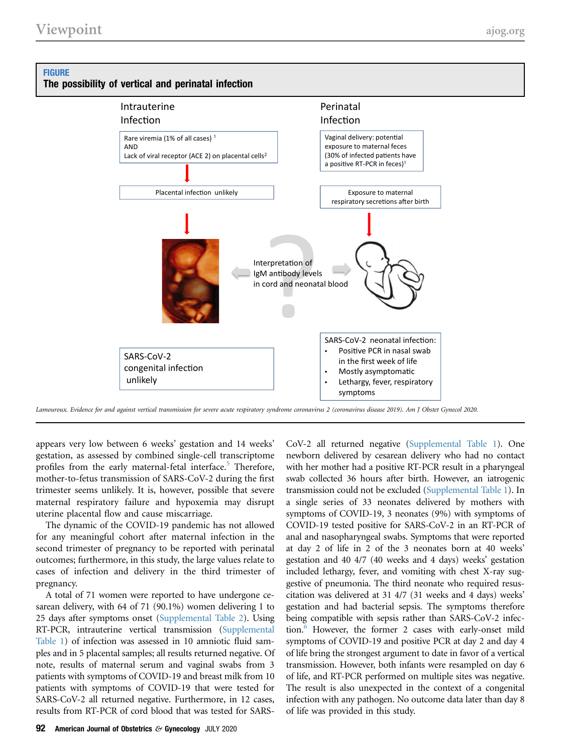## <span id="page-1-0"></span>**FIGURE** The possibility of vertical and perinatal infection



Lamouroux. Evidence for and against vertical transmission for severe acute respiratory syndrome coronavirus 2 (coronavirus disease 2019). Am J Obstet Gynecol 2020.

appears very low between 6 weeks' gestation and 14 weeks' gestation, as assessed by combined single-cell transcriptome profiles from the early maternal-fetal interface.<sup>[5](#page-2-4)</sup> Therefore, mother-to-fetus transmission of SARS-CoV-2 during the first trimester seems unlikely. It is, however, possible that severe maternal respiratory failure and hypoxemia may disrupt uterine placental flow and cause miscarriage.

The dynamic of the COVID-19 pandemic has not allowed for any meaningful cohort after maternal infection in the second trimester of pregnancy to be reported with perinatal outcomes; furthermore, in this study, the large values relate to cases of infection and delivery in the third trimester of pregnancy.

A total of 71 women were reported to have undergone cesarean delivery, with 64 of 71 (90.1%) women delivering 1 to 25 days after symptoms onset (Supplemental Table 2). Using RT-PCR, intrauterine vertical transmission (Supplemental Table 1) of infection was assessed in 10 amniotic fluid samples and in 5 placental samples; all results returned negative. Of note, results of maternal serum and vaginal swabs from 3 patients with symptoms of COVID-19 and breast milk from 10 patients with symptoms of COVID-19 that were tested for SARS-CoV-2 all returned negative. Furthermore, in 12 cases, results from RT-PCR of cord blood that was tested for SARS-

CoV-2 all returned negative (Supplemental Table 1). One newborn delivered by cesarean delivery who had no contact with her mother had a positive RT-PCR result in a pharyngeal swab collected 36 hours after birth. However, an iatrogenic transmission could not be excluded (Supplemental Table 1). In a single series of 33 neonates delivered by mothers with symptoms of COVID-19, 3 neonates (9%) with symptoms of COVID-19 tested positive for SARS-CoV-2 in an RT-PCR of anal and nasopharyngeal swabs. Symptoms that were reported at day 2 of life in 2 of the 3 neonates born at 40 weeks' gestation and 40 4/7 (40 weeks and 4 days) weeks' gestation included lethargy, fever, and vomiting with chest X-ray suggestive of pneumonia. The third neonate who required resuscitation was delivered at 31 4/7 (31 weeks and 4 days) weeks' gestation and had bacterial sepsis. The symptoms therefore being compatible with sepsis rather than SARS-CoV-2 infection.[6](#page-2-5) However, the former 2 cases with early-onset mild symptoms of COVID-19 and positive PCR at day 2 and day 4 of life bring the strongest argument to date in favor of a vertical transmission. However, both infants were resampled on day 6 of life, and RT-PCR performed on multiple sites was negative. The result is also unexpected in the context of a congenital infection with any pathogen. No outcome data later than day 8 of life was provided in this study.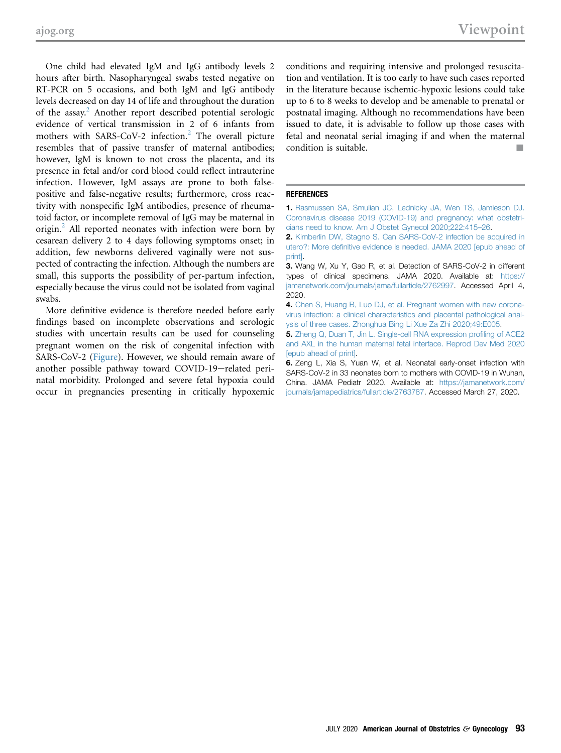One child had elevated IgM and IgG antibody levels 2 hours after birth. Nasopharyngeal swabs tested negative on RT-PCR on 5 occasions, and both IgM and IgG antibody levels decreased on day 14 of life and throughout the duration of the assay.<sup>[2](#page-2-1)</sup> Another report described potential serologic evidence of vertical transmission in 2 of 6 infants from mothers with SARS-CoV-[2](#page-2-1) infection.<sup>2</sup> The overall picture resembles that of passive transfer of maternal antibodies; however, IgM is known to not cross the placenta, and its presence in fetal and/or cord blood could reflect intrauterine infection. However, IgM assays are prone to both falsepositive and false-negative results; furthermore, cross reactivity with nonspecific IgM antibodies, presence of rheumatoid factor, or incomplete removal of IgG may be maternal in origin.<sup>[2](#page-2-1)</sup> All reported neonates with infection were born by cesarean delivery 2 to 4 days following symptoms onset; in addition, few newborns delivered vaginally were not suspected of contracting the infection. Although the numbers are small, this supports the possibility of per-partum infection, especially because the virus could not be isolated from vaginal swabs.

More definitive evidence is therefore needed before early findings based on incomplete observations and serologic studies with uncertain results can be used for counseling pregnant women on the risk of congenital infection with SARS-CoV-2 ([Figure\)](#page-1-0). However, we should remain aware of another possible pathway toward COVID-19-related perinatal morbidity. Prolonged and severe fetal hypoxia could occur in pregnancies presenting in critically hypoxemic

conditions and requiring intensive and prolonged resuscitation and ventilation. It is too early to have such cases reported in the literature because ischemic-hypoxic lesions could take up to 6 to 8 weeks to develop and be amenable to prenatal or postnatal imaging. Although no recommendations have been issued to date, it is advisable to follow up those cases with fetal and neonatal serial imaging if and when the maternal condition is suitable.

## <span id="page-2-0"></span>**REFERENCES**

<span id="page-2-1"></span>1. [Rasmussen SA, Smulian JC, Lednicky JA, Wen TS, Jamieson DJ.](http://refhub.elsevier.com/S0002-9378(20)30524-X/sref1) [Coronavirus disease 2019 \(COVID-19\) and pregnancy: what obstetri](http://refhub.elsevier.com/S0002-9378(20)30524-X/sref1)[cians need to know. Am J Obstet Gynecol 2020;222:415](http://refhub.elsevier.com/S0002-9378(20)30524-X/sref1)–26.

<span id="page-2-2"></span>2. [Kimberlin DW, Stagno S. Can SARS-CoV-2 infection be acquired in](http://refhub.elsevier.com/S0002-9378(20)30524-X/sref2) utero?: More defi[nitive evidence is needed. JAMA 2020 \[epub ahead of](http://refhub.elsevier.com/S0002-9378(20)30524-X/sref2) [print\].](http://refhub.elsevier.com/S0002-9378(20)30524-X/sref2)

<span id="page-2-3"></span>3. Wang W, Xu Y, Gao R, et al. Detection of SARS-CoV-2 in different types of clinical specimens. JAMA 2020. Available at: [https://](https://jamanetwork.com/journals/jama/fullarticle/2762997) [jamanetwork.com/journals/jama/fullarticle/2762997](https://jamanetwork.com/journals/jama/fullarticle/2762997). Accessed April 4, 2020.

<span id="page-2-4"></span>4. [Chen S, Huang B, Luo DJ, et al. Pregnant women with new corona](http://refhub.elsevier.com/S0002-9378(20)30524-X/sref4)[virus infection: a clinical characteristics and placental pathological anal](http://refhub.elsevier.com/S0002-9378(20)30524-X/sref4)[ysis of three cases. Zhonghua Bing Li Xue Za Zhi 2020;49:E005.](http://refhub.elsevier.com/S0002-9378(20)30524-X/sref4)

<span id="page-2-5"></span>5. [Zheng Q, Duan T, Jin L. Single-cell RNA expression pro](http://refhub.elsevier.com/S0002-9378(20)30524-X/sref5)filing of ACE2 [and AXL in the human maternal fetal interface. Reprod Dev Med 2020](http://refhub.elsevier.com/S0002-9378(20)30524-X/sref5) [\[epub ahead of print\]](http://refhub.elsevier.com/S0002-9378(20)30524-X/sref5).

6. Zeng L, Xia S, Yuan W, et al. Neonatal early-onset infection with SARS-CoV-2 in 33 neonates born to mothers with COVID-19 in Wuhan, China. JAMA Pediatr 2020. Available at: [https://jamanetwork.com/](https://jamanetwork.com/journals/jamapediatrics/fullarticle/2763787) [journals/jamapediatrics/fullarticle/2763787.](https://jamanetwork.com/journals/jamapediatrics/fullarticle/2763787) Accessed March 27, 2020.